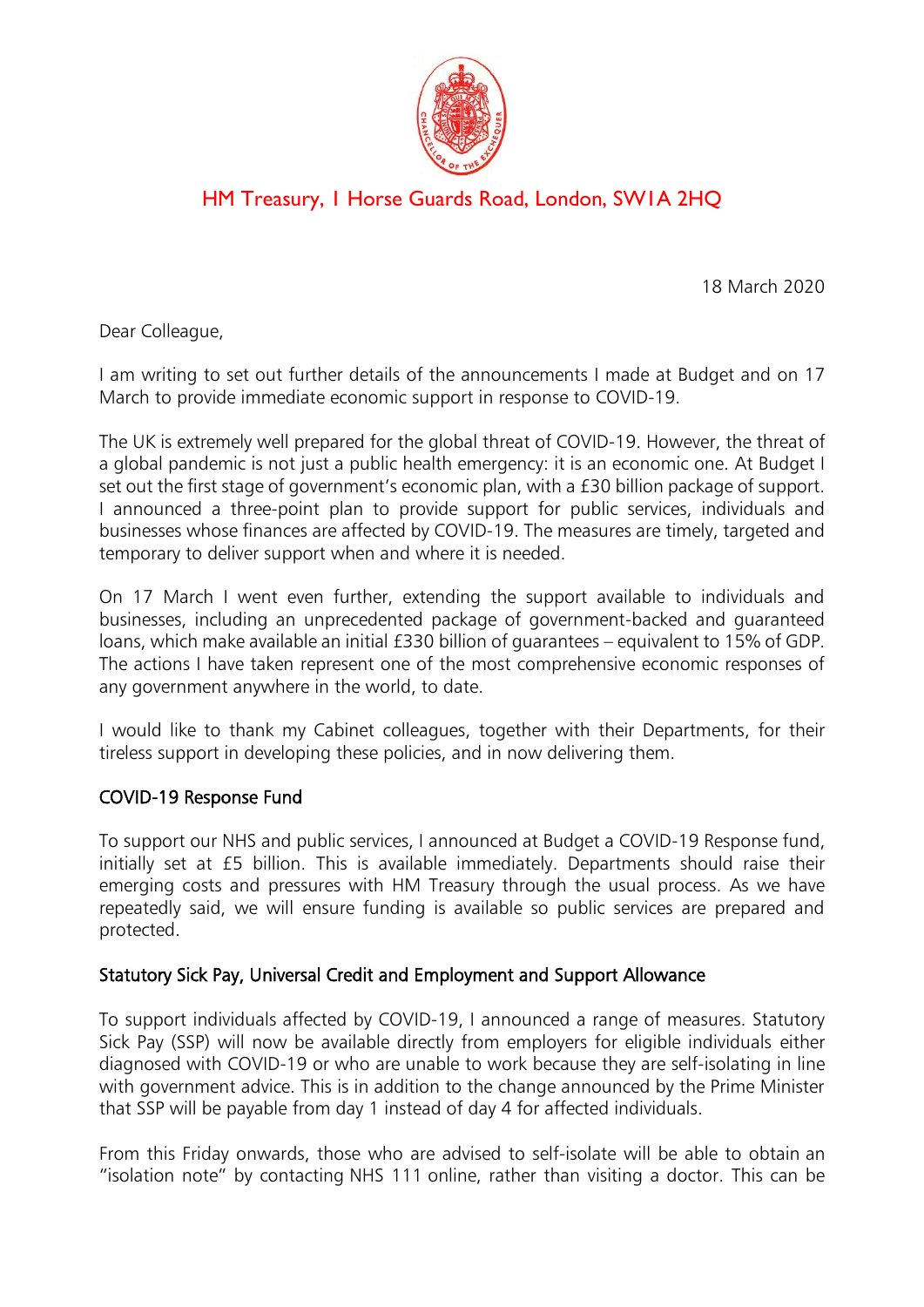

# HM Treasury, 1 Horse Guards Road, London, SW1A 2HQ

18 March 2020

Dear Colleague,

I am writing to set out further details of the announcements I made at Budget and on 17 March to provide immediate economic support in response to COVID-19.

The UK is extremely well prepared for the global threat of COVID-19. However, the threat of a global pandemic is not just a public health emergency: it is an economic one. At Budget I set out the first stage of government's economic plan, with a £30 billion package of support. I announced a three-point plan to provide support for public services, individuals and businesses whose finances are affected by COVID-19. The measures are timely, targeted and temporary to deliver support when and where it is needed.

On 17 March I went even further, extending the support available to individuals and businesses, including an unprecedented package of government-backed and guaranteed loans, which make available an initial £330 billion of guarantees – equivalent to 15% of GDP. The actions I have taken represent one of the most comprehensive economic responses of any government anywhere in the world, to date.

I would like to thank my Cabinet colleagues, together with their Departments, for their tireless support in developing these policies, and in now delivering them.

## COVID-19 Response Fund

To support our NHS and public services, I announced at Budget a COVID-19 Response fund, initially set at £5 billion. This is available immediately. Departments should raise their emerging costs and pressures with HM Treasury through the usual process. As we have repeatedly said, we will ensure funding is available so public services are prepared and protected.

## Statutory Sick Pay, Universal Credit and Employment and Support Allowance

To support individuals affected by COVID-19, I announced a range of measures. Statutory Sick Pay (SSP) will now be available directly from employers for eligible individuals either diagnosed with COVID-19 or who are unable to work because they are self-isolating in line with government advice. This is in addition to the change announced by the Prime Minister that SSP will be payable from day 1 instead of day 4 for affected individuals.

From this Friday onwards, those who are advised to self-isolate will be able to obtain an "isolation note" by contacting NHS 111 online, rather than visiting a doctor. This can be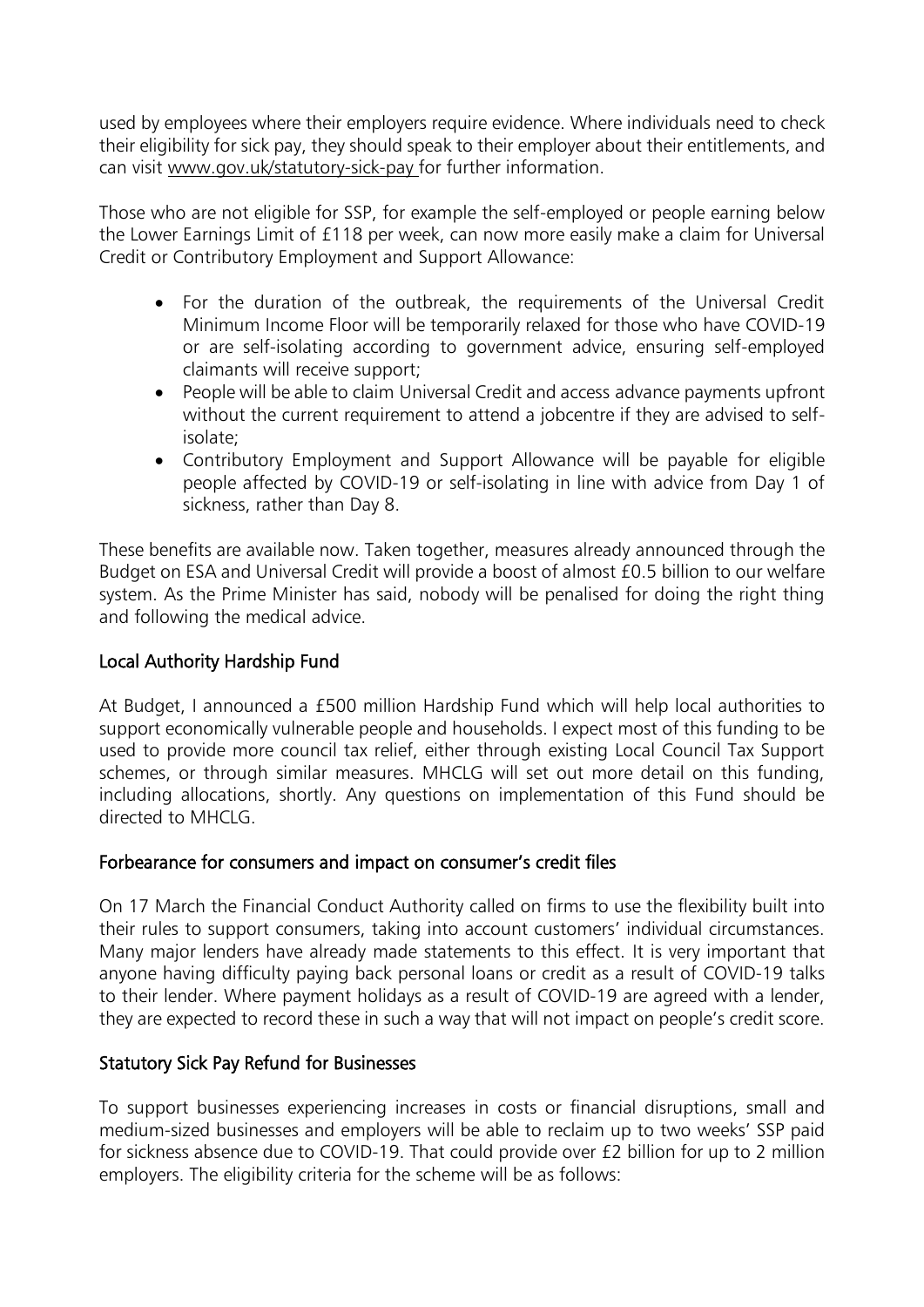used by employees where their employers require evidence. Where individuals need to check their eligibility for sick pay, they should speak to their employer about their entitlements, and can visit www.gov.uk/statutory-sick-pay for further information.

Those who are not eligible for SSP, for example the self-employed or people earning below the Lower Earnings Limit of £118 per week, can now more easily make a claim for Universal Credit or Contributory Employment and Support Allowance:

- For the duration of the outbreak, the requirements of the Universal Credit Minimum Income Floor will be temporarily relaxed for those who have COVID-19 or are self-isolating according to government advice, ensuring self-employed claimants will receive support;
- People will be able to claim Universal Credit and access advance payments upfront without the current requirement to attend a jobcentre if they are advised to selfisolate;
- Contributory Employment and Support Allowance will be payable for eligible people affected by COVID-19 or self-isolating in line with advice from Day 1 of sickness, rather than Day 8.

These benefits are available now. Taken together, measures already announced through the Budget on ESA and Universal Credit will provide a boost of almost £0.5 billion to our welfare system. As the Prime Minister has said, nobody will be penalised for doing the right thing and following the medical advice.

## Local Authority Hardship Fund

At Budget, I announced a £500 million Hardship Fund which will help local authorities to support economically vulnerable people and households. I expect most of this funding to be used to provide more council tax relief, either through existing Local Council Tax Support schemes, or through similar measures. MHCLG will set out more detail on this funding, including allocations, shortly. Any questions on implementation of this Fund should be directed to MHCLG.

## Forbearance for consumers and impact on consumer's credit files

On 17 March the Financial Conduct Authority called on firms to use the flexibility built into their rules to support consumers, taking into account customers' individual circumstances. Many major lenders have already made statements to this effect. It is very important that anyone having difficulty paying back personal loans or credit as a result of COVID-19 talks to their lender. Where payment holidays as a result of COVID-19 are agreed with a lender, they are expected to record these in such a way that will not impact on people's credit score.

## Statutory Sick Pay Refund for Businesses

To support businesses experiencing increases in costs or financial disruptions, small and medium-sized businesses and employers will be able to reclaim up to two weeks' SSP paid for sickness absence due to COVID-19. That could provide over £2 billion for up to 2 million employers. The eligibility criteria for the scheme will be as follows: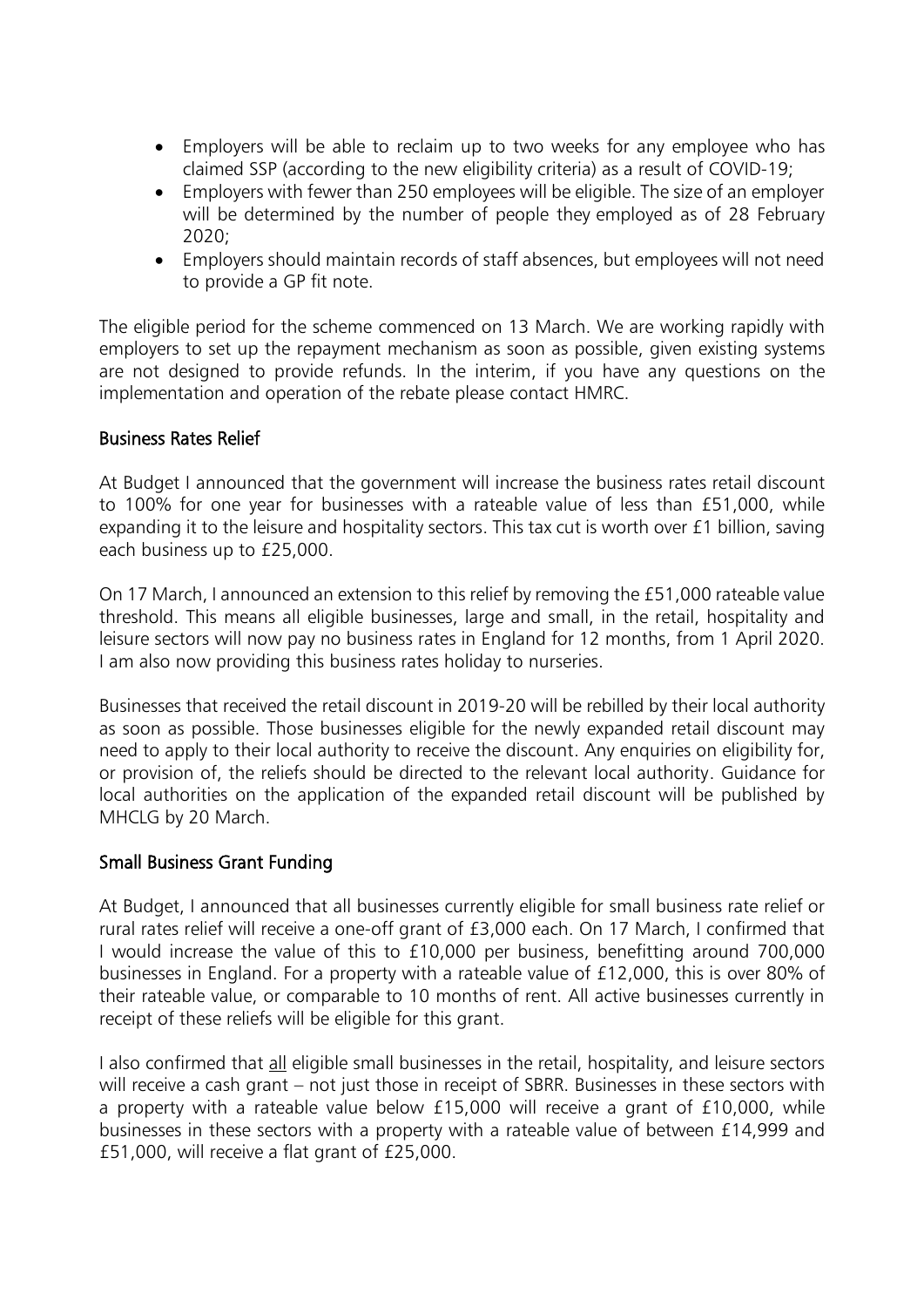- Employers will be able to reclaim up to two weeks for any employee who has claimed SSP (according to the new eligibility criteria) as a result of COVID-19;
- Employers with fewer than 250 employees will be eligible. The size of an employer will be determined by the number of people they employed as of 28 February 2020;
- Employers should maintain records of staff absences, but employees will not need to provide a GP fit note.

The eligible period for the scheme commenced on 13 March. We are working rapidly with employers to set up the repayment mechanism as soon as possible, given existing systems are not designed to provide refunds. In the interim, if you have any questions on the implementation and operation of the rebate please contact HMRC.

#### Business Rates Relief

At Budget I announced that the government will increase the business rates retail discount to 100% for one year for businesses with a rateable value of less than £51,000, while expanding it to the leisure and hospitality sectors. This tax cut is worth over £1 billion, saving each business up to £25,000.

On 17 March, I announced an extension to this relief by removing the £51,000 rateable value threshold. This means all eligible businesses, large and small, in the retail, hospitality and leisure sectors will now pay no business rates in England for 12 months, from 1 April 2020. I am also now providing this business rates holiday to nurseries.

Businesses that received the retail discount in 2019-20 will be rebilled by their local authority as soon as possible. Those businesses eligible for the newly expanded retail discount may need to apply to their local authority to receive the discount. Any enquiries on eligibility for, or provision of, the reliefs should be directed to the relevant local authority. Guidance for local authorities on the application of the expanded retail discount will be published by MHCLG by 20 March.

#### Small Business Grant Funding

At Budget, I announced that all businesses currently eligible for small business rate relief or rural rates relief will receive a one-off grant of £3,000 each. On 17 March, I confirmed that I would increase the value of this to £10,000 per business, benefitting around 700,000 businesses in England. For a property with a rateable value of £12,000, this is over 80% of their rateable value, or comparable to 10 months of rent. All active businesses currently in receipt of these reliefs will be eligible for this grant.

I also confirmed that all eligible small businesses in the retail, hospitality, and leisure sectors will receive a cash grant – not just those in receipt of SBRR. Businesses in these sectors with a property with a rateable value below £15,000 will receive a grant of £10,000, while businesses in these sectors with a property with a rateable value of between £14,999 and £51,000, will receive a flat grant of £25,000.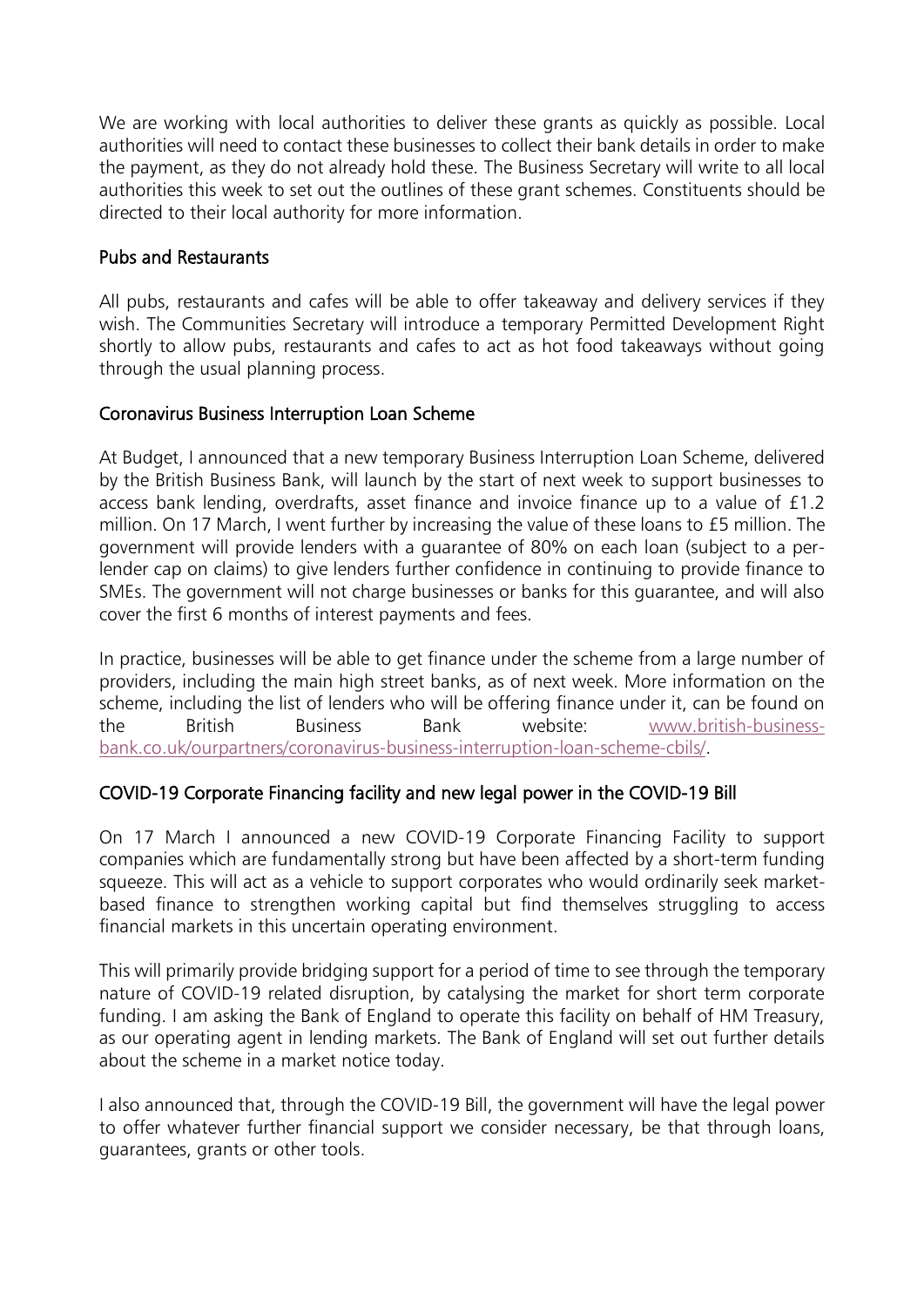We are working with local authorities to deliver these grants as quickly as possible. Local authorities will need to contact these businesses to collect their bank details in order to make the payment, as they do not already hold these. The Business Secretary will write to all local authorities this week to set out the outlines of these grant schemes. Constituents should be directed to their local authority for more information.

## Pubs and Restaurants

All pubs, restaurants and cafes will be able to offer takeaway and delivery services if they wish. The Communities Secretary will introduce a temporary Permitted Development Right shortly to allow pubs, restaurants and cafes to act as hot food takeaways without going through the usual planning process.

## Coronavirus Business Interruption Loan Scheme

At Budget, I announced that a new temporary Business Interruption Loan Scheme, delivered by the British Business Bank, will launch by the start of next week to support businesses to access bank lending, overdrafts, asset finance and invoice finance up to a value of £1.2 million. On 17 March, I went further by increasing the value of these loans to £5 million. The government will provide lenders with a guarantee of 80% on each loan (subject to a perlender cap on claims) to give lenders further confidence in continuing to provide finance to SMEs. The government will not charge businesses or banks for this guarantee, and will also cover the first 6 months of interest payments and fees.

In practice, businesses will be able to get finance under the scheme from a large number of providers, including the main high street banks, as of next week. More information on the scheme, including the list of lenders who will be offering finance under it, can be found on the British Business Bank website: [www.british-business](https://www.british-business-bank.co.uk/ourpartners/coronavirus-business-interruption-loan-scheme-cbils/)[bank.co.uk/ourpartners/coronavirus-business-interruption-loan-scheme-cbils/.](https://www.british-business-bank.co.uk/ourpartners/coronavirus-business-interruption-loan-scheme-cbils/)

## COVID-19 Corporate Financing facility and new legal power in the COVID-19 Bill

On 17 March I announced a new COVID-19 Corporate Financing Facility to support companies which are fundamentally strong but have been affected by a short-term funding squeeze. This will act as a vehicle to support corporates who would ordinarily seek marketbased finance to strengthen working capital but find themselves struggling to access financial markets in this uncertain operating environment.

This will primarily provide bridging support for a period of time to see through the temporary nature of COVID-19 related disruption, by catalysing the market for short term corporate funding. I am asking the Bank of England to operate this facility on behalf of HM Treasury, as our operating agent in lending markets. The Bank of England will set out further details about the scheme in a market notice today.

I also announced that, through the COVID-19 Bill, the government will have the legal power to offer whatever further financial support we consider necessary, be that through loans, guarantees, grants or other tools.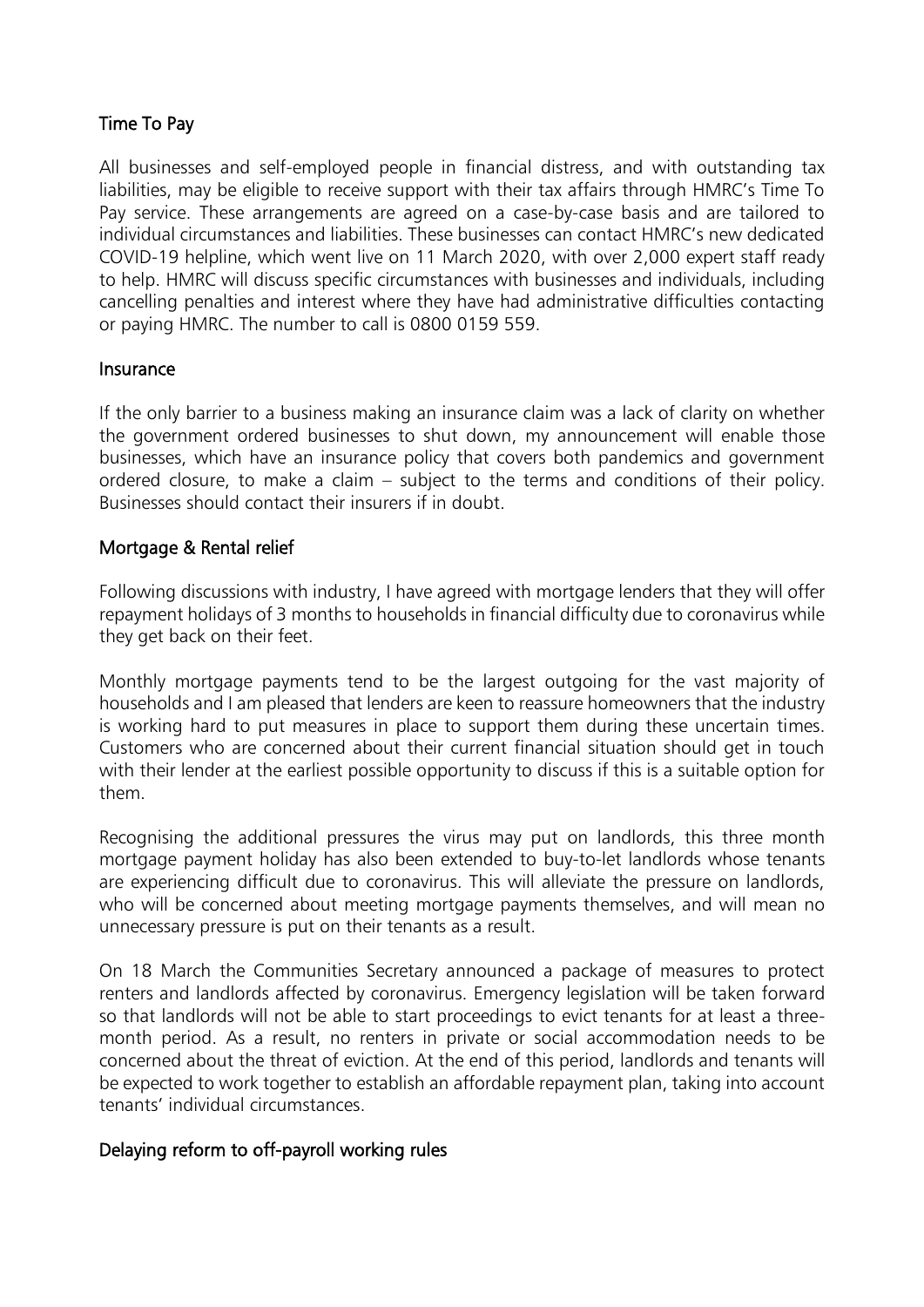## Time To Pay

All businesses and self-employed people in financial distress, and with outstanding tax liabilities, may be eligible to receive support with their tax affairs through HMRC's Time To Pay service. These arrangements are agreed on a case-by-case basis and are tailored to individual circumstances and liabilities. These businesses can contact HMRC's new dedicated COVID-19 helpline, which went live on 11 March 2020, with over 2,000 expert staff ready to help. HMRC will discuss specific circumstances with businesses and individuals, including cancelling penalties and interest where they have had administrative difficulties contacting or paying HMRC. The number to call is 0800 0159 559.

#### Insurance

If the only barrier to a business making an insurance claim was a lack of clarity on whether the government ordered businesses to shut down, my announcement will enable those businesses, which have an insurance policy that covers both pandemics and government ordered closure, to make a claim – subject to the terms and conditions of their policy. Businesses should contact their insurers if in doubt.

#### Mortgage & Rental relief

Following discussions with industry, I have agreed with mortgage lenders that they will offer repayment holidays of 3 months to households in financial difficulty due to coronavirus while they get back on their feet.

Monthly mortgage payments tend to be the largest outgoing for the vast majority of households and I am pleased that lenders are keen to reassure homeowners that the industry is working hard to put measures in place to support them during these uncertain times. Customers who are concerned about their current financial situation should get in touch with their lender at the earliest possible opportunity to discuss if this is a suitable option for them.

Recognising the additional pressures the virus may put on landlords, this three month mortgage payment holiday has also been extended to buy-to-let landlords whose tenants are experiencing difficult due to coronavirus. This will alleviate the pressure on landlords, who will be concerned about meeting mortgage payments themselves, and will mean no unnecessary pressure is put on their tenants as a result.

On 18 March the Communities Secretary announced a package of measures to protect renters and landlords affected by coronavirus. Emergency legislation will be taken forward so that landlords will not be able to start proceedings to evict tenants for at least a threemonth period. As a result, no renters in private or social accommodation needs to be concerned about the threat of eviction. At the end of this period, landlords and tenants will be expected to work together to establish an affordable repayment plan, taking into account tenants' individual circumstances.

## Delaying reform to off-payroll working rules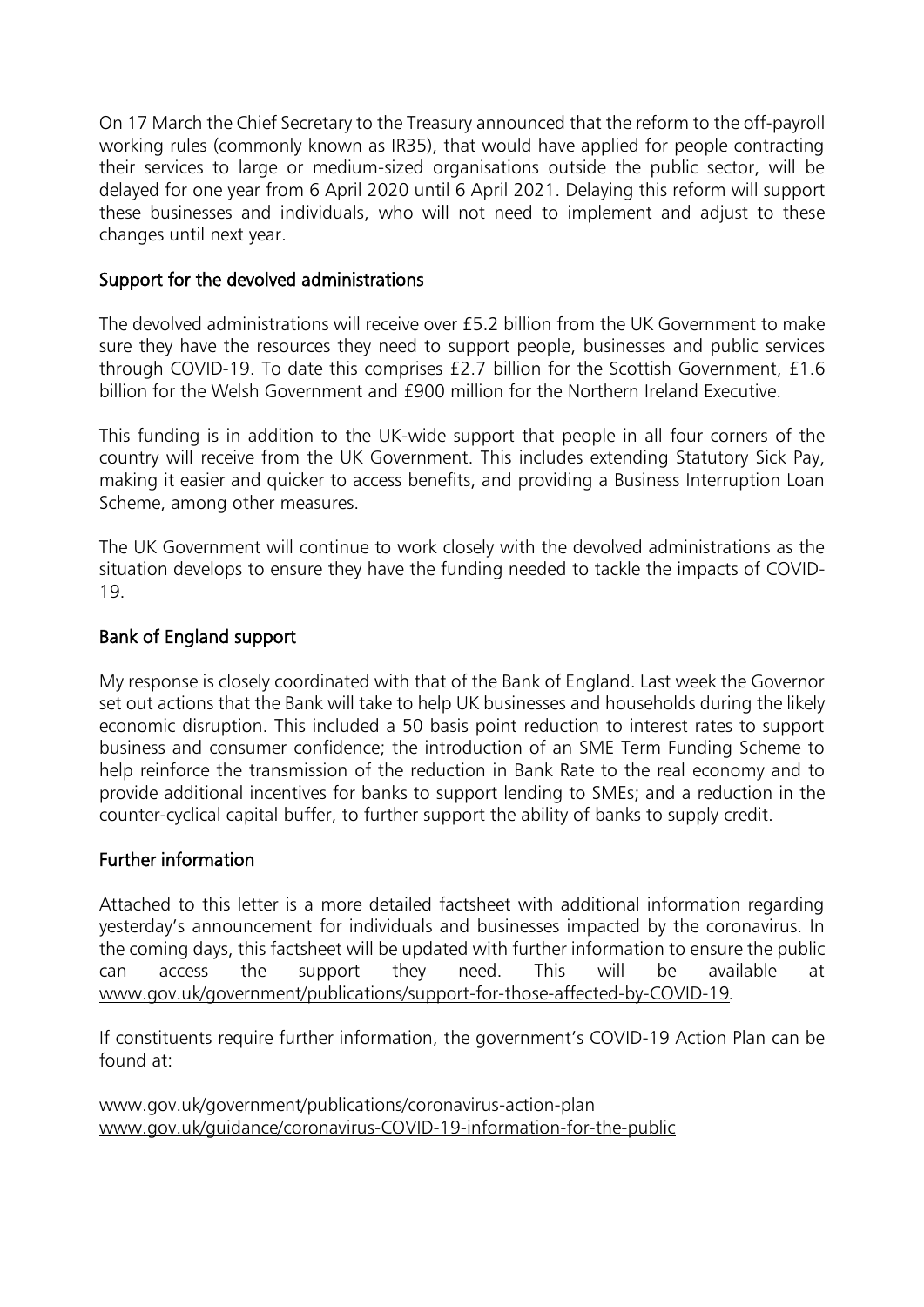On 17 March the Chief Secretary to the Treasury announced that the reform to the off-payroll working rules (commonly known as IR35), that would have applied for people contracting their services to large or medium-sized organisations outside the public sector, will be delayed for one year from 6 April 2020 until 6 April 2021. Delaying this reform will support these businesses and individuals, who will not need to implement and adjust to these changes until next year.

#### Support for the devolved administrations

The devolved administrations will receive over £5.2 billion from the UK Government to make sure they have the resources they need to support people, businesses and public services through COVID-19. To date this comprises £2.7 billion for the Scottish Government, £1.6 billion for the Welsh Government and £900 million for the Northern Ireland Executive.

This funding is in addition to the UK-wide support that people in all four corners of the country will receive from the UK Government. This includes extending Statutory Sick Pay, making it easier and quicker to access benefits, and providing a Business Interruption Loan Scheme, among other measures.

The UK Government will continue to work closely with the devolved administrations as the situation develops to ensure they have the funding needed to tackle the impacts of COVID-19.

## Bank of England support

My response is closely coordinated with that of the Bank of England. Last week the Governor set out actions that the Bank will take to help UK businesses and households during the likely economic disruption. This included a 50 basis point reduction to interest rates to support business and consumer confidence; the introduction of an SME Term Funding Scheme to help reinforce the transmission of the reduction in Bank Rate to the real economy and to provide additional incentives for banks to support lending to SMEs; and a reduction in the counter-cyclical capital buffer, to further support the ability of banks to supply credit.

#### Further information

Attached to this letter is a more detailed factsheet with additional information regarding yesterday's announcement for individuals and businesses impacted by the coronavirus. In the coming days, this factsheet will be updated with further information to ensure the public can access the support they need. This will be available at www.gov.uk/government/publications/support-for-those-affected-by-COVID-19*.*

If constituents require further information, the government's COVID-19 Action Plan can be found at:

www[.gov.uk/government/publications/coronavirus-action-plan](https://www.gov.uk/government/publications/coronavirus-action-plan) www[.gov.uk/guidance/coronavirus-COVID-19-information-for-the-public](https://www.gov.uk/guidance/coronavirus-covid-19-information-for-the-public)